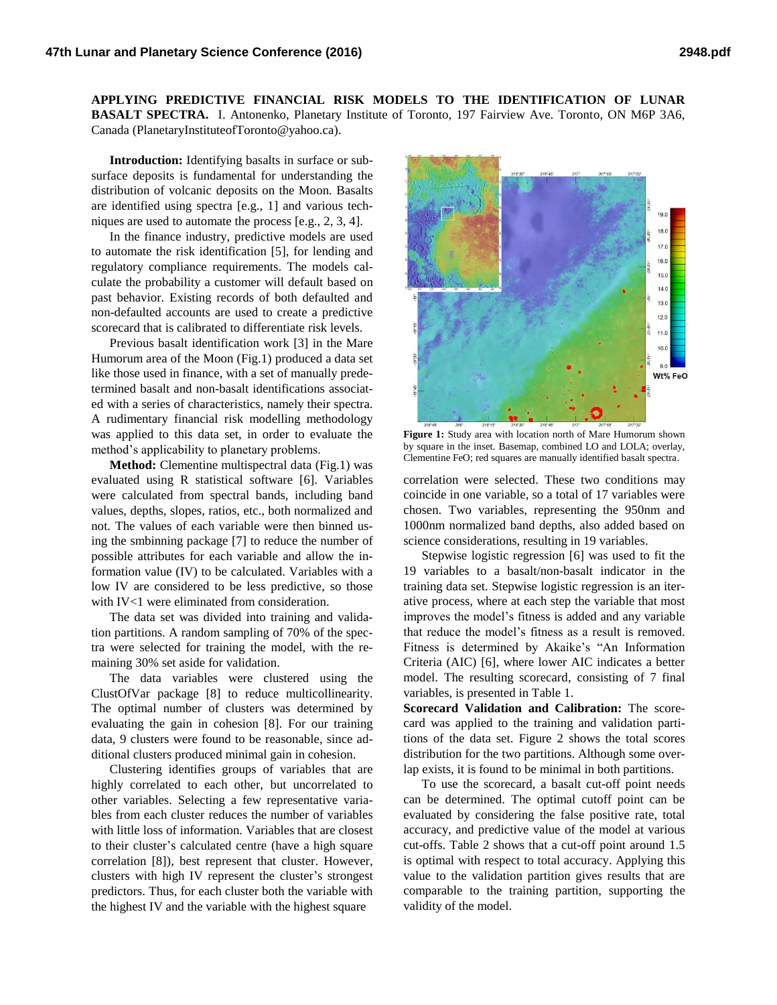**APPLYING PREDICTIVE FINANCIAL RISK MODELS TO THE IDENTIFICATION OF LUNAR BASALT SPECTRA.** I. Antonenko, Planetary Institute of Toronto, 197 Fairview Ave. Toronto, ON M6P 3A6, Canada (PlanetaryInstituteofToronto@yahoo.ca).

**Introduction:** Identifying basalts in surface or subsurface deposits is fundamental for understanding the distribution of volcanic deposits on the Moon. Basalts are identified using spectra [e.g., 1] and various techniques are used to automate the process [e.g., 2, 3, 4].

In the finance industry, predictive models are used to automate the risk identification [5], for lending and regulatory compliance requirements. The models calculate the probability a customer will default based on past behavior. Existing records of both defaulted and non-defaulted accounts are used to create a predictive scorecard that is calibrated to differentiate risk levels.

Previous basalt identification work [3] in the Mare Humorum area of the Moon (Fig.1) produced a data set like those used in finance, with a set of manually predetermined basalt and non-basalt identifications associated with a series of characteristics, namely their spectra. A rudimentary financial risk modelling methodology was applied to this data set, in order to evaluate the method's applicability to planetary problems.

**Method:** Clementine multispectral data (Fig.1) was evaluated using R statistical software [6]. Variables were calculated from spectral bands, including band values, depths, slopes, ratios, etc., both normalized and not. The values of each variable were then binned using the smbinning package [7] to reduce the number of possible attributes for each variable and allow the information value (IV) to be calculated. Variables with a low IV are considered to be less predictive, so those with IV<1 were eliminated from consideration.

The data set was divided into training and validation partitions. A random sampling of 70% of the spectra were selected for training the model, with the remaining 30% set aside for validation.

The data variables were clustered using the ClustOfVar package [8] to reduce multicollinearity. The optimal number of clusters was determined by evaluating the gain in cohesion [8]. For our training data, 9 clusters were found to be reasonable, since additional clusters produced minimal gain in cohesion.

Clustering identifies groups of variables that are highly correlated to each other, but uncorrelated to other variables. Selecting a few representative variables from each cluster reduces the number of variables with little loss of information. Variables that are closest to their cluster's calculated centre (have a high square correlation [8]), best represent that cluster. However, clusters with high IV represent the cluster's strongest predictors. Thus, for each cluster both the variable with the highest IV and the variable with the highest square



**Figure 1:** Study area with location north of Mare Humorum shown by square in the inset. Basemap, combined LO and LOLA; overlay, Clementine FeO; red squares are manually identified basalt spectra.

correlation were selected. These two conditions may coincide in one variable, so a total of 17 variables were chosen. Two variables, representing the 950nm and 1000nm normalized band depths, also added based on science considerations, resulting in 19 variables.

Stepwise logistic regression [6] was used to fit the 19 variables to a basalt/non-basalt indicator in the training data set. Stepwise logistic regression is an iterative process, where at each step the variable that most improves the model's fitness is added and any variable that reduce the model's fitness as a result is removed. Fitness is determined by Akaike's "An Information Criteria (AIC) [6], where lower AIC indicates a better model. The resulting scorecard, consisting of 7 final variables, is presented in Table 1.

**Scorecard Validation and Calibration:** The scorecard was applied to the training and validation partitions of the data set. Figure 2 shows the total scores distribution for the two partitions. Although some overlap exists, it is found to be minimal in both partitions.

To use the scorecard, a basalt cut-off point needs can be determined. The optimal cutoff point can be evaluated by considering the false positive rate, total accuracy, and predictive value of the model at various cut-offs. Table 2 shows that a cut-off point around 1.5 is optimal with respect to total accuracy. Applying this value to the validation partition gives results that are comparable to the training partition, supporting the validity of the model.